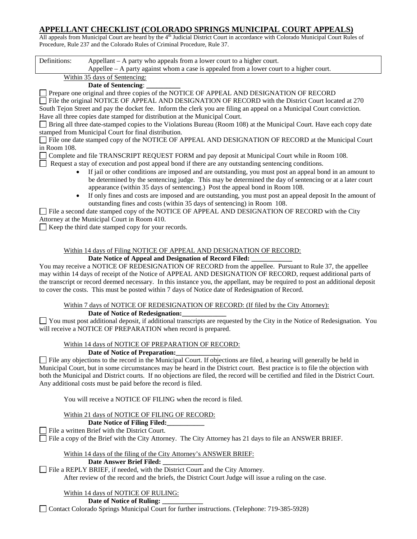### **APPELLANT CHECKLIST (COLORADO SPRINGS MUNICIPAL COURT APPEALS)**

All appeals from Municipal Court are heard by the 4<sup>th</sup> Judicial District Court in accordance with Colorado Municipal Court Rules of Procedure, Rule 237 and the Colorado Rules of Criminal Procedure, Rule 37.

| Definitions:                                                                                                               | Appellant $- A$ party who appeals from a lower court to a higher court.                                   |  |  |  |  |  |
|----------------------------------------------------------------------------------------------------------------------------|-----------------------------------------------------------------------------------------------------------|--|--|--|--|--|
|                                                                                                                            | Appellee $-$ A party against whom a case is appealed from a lower court to a higher court.                |  |  |  |  |  |
| Within 35 days of Sentencing:                                                                                              |                                                                                                           |  |  |  |  |  |
|                                                                                                                            | Date of Sentencing:                                                                                       |  |  |  |  |  |
|                                                                                                                            | Prepare one original and three copies of the NOTICE OF APPEAL AND DESIGNATION OF RECORD                   |  |  |  |  |  |
|                                                                                                                            | File the original NOTICE OF APPEAL AND DESIGNATION OF RECORD with the District Court located at 270       |  |  |  |  |  |
| South Tejon Street and pay the docket fee. Inform the clerk you are filing an appeal on a Municipal Court conviction.      |                                                                                                           |  |  |  |  |  |
|                                                                                                                            | Have all three copies date stamped for distribution at the Municipal Court.                               |  |  |  |  |  |
| <b>Bring all three date-stamped copies to the Violations Bureau (Room 108) at the Municipal Court. Have each copy date</b> |                                                                                                           |  |  |  |  |  |
|                                                                                                                            | stamped from Municipal Court for final distribution.                                                      |  |  |  |  |  |
|                                                                                                                            | File one date stamped copy of the NOTICE OF APPEAL AND DESIGNATION OF RECORD at the Municipal Court       |  |  |  |  |  |
| in Room 108.                                                                                                               |                                                                                                           |  |  |  |  |  |
| Complete and file TRANSCRIPT REQUEST FORM and pay deposit at Municipal Court while in Room 108.                            |                                                                                                           |  |  |  |  |  |
| Request a stay of execution and post appeal bond if there are any outstanding sentencing conditions.                       |                                                                                                           |  |  |  |  |  |
| If jail or other conditions are imposed and are outstanding, you must post an appeal bond in an amount to<br>$\bullet$     |                                                                                                           |  |  |  |  |  |
|                                                                                                                            | be determined by the sentencing judge. This may be determined the day of sentencing or at a later court   |  |  |  |  |  |
|                                                                                                                            | appearance (within 35 days of sentencing.) Post the appeal bond in Room 108.                              |  |  |  |  |  |
| $\bullet$                                                                                                                  | If only fines and costs are imposed and are outstanding, you must post an appeal deposit In the amount of |  |  |  |  |  |
|                                                                                                                            | outstanding fines and costs (within 35 days of sentencing) in Room 108.                                   |  |  |  |  |  |
| File a second date stamped copy of the NOTICE OF APPEAL AND DESIGNATION OF RECORD with the City                            |                                                                                                           |  |  |  |  |  |
| Attorney at the Municipal Court in Room 410.                                                                               |                                                                                                           |  |  |  |  |  |
|                                                                                                                            | $\Box$ Keep the third date stamped copy for your records.                                                 |  |  |  |  |  |

#### Within 14 days of Filing NOTICE OF APPEAL AND DESIGNATION OF RECORD: Date Notice of Appeal and Designation of Record Filed:

You may receive a NOTICE OF REDESIGNATION OF RECORD from the appellee. Pursuant to Rule 37, the appellee may within 14 days of receipt of the Notice of APPEAL AND DESIGNATION OF RECORD, request additional parts of the transcript or record deemed necessary. In this instance you, the appellant, may be required to post an additional deposit to cover the costs. This must be posted within 7 days of Notice date of Redesignation of Record.

Within 7 days of NOTICE OF REDESIGNATION OF RECORD: (If filed by the City Attorney): **Date of Notice of Redesignation:\_\_\_\_\_\_\_\_\_\_\_\_\_**

You must post additional deposit, if additional transcripts are requested by the City in the Notice of Redesignation. You will receive a NOTICE OF PREPARATION when record is prepared.

# Within 14 days of NOTICE OF PREPARATION OF RECORD:

### **Date of Notice of Preparation:\_\_\_\_\_\_\_\_\_\_\_\_\_**

 $\Box$  File any objections to the record in the Municipal Court. If objections are filed, a hearing will generally be held in Municipal Court, but in some circumstances may be heard in the District court. Best practice is to file the objection with both the Municipal and District courts. If no objections are filed, the record will be certified and filed in the District Court. Any additional costs must be paid before the record is filed.

You will receive a NOTICE OF FILING when the record is filed.

#### Within 21 days of NOTICE OF FILING OF RECORD:

#### **Date Notice of Filing Filed:\_\_\_\_\_\_\_\_\_\_\_**

File a written Brief with the District Court.

File a copy of the Brief with the City Attorney. The City Attorney has 21 days to file an ANSWER BRIEF.

Within 14 days of the filing of the City Attorney's ANSWER BRIEF:

#### **Date Answer Brief Filed: \_\_\_\_\_\_\_\_\_\_\_\_**

File a REPLY BRIEF, if needed, with the District Court and the City Attorney. After review of the record and the briefs, the District Court Judge will issue a ruling on the case.

## Within 14 days of NOTICE OF RULING:

**Date of Notice of Ruling: \_\_\_\_\_\_\_\_\_\_\_\_**

Contact Colorado Springs Municipal Court for further instructions. (Telephone: 719-385-5928)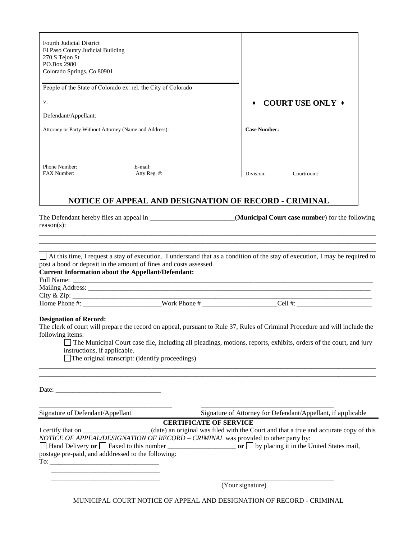| <b>Fourth Judicial District</b>                                                                                                                                                                                                                                                                                                                                   |                                                 |                                                       |                                                                                                                                                                                                                                                  |  |  |  |  |  |
|-------------------------------------------------------------------------------------------------------------------------------------------------------------------------------------------------------------------------------------------------------------------------------------------------------------------------------------------------------------------|-------------------------------------------------|-------------------------------------------------------|--------------------------------------------------------------------------------------------------------------------------------------------------------------------------------------------------------------------------------------------------|--|--|--|--|--|
| El Paso County Judicial Building                                                                                                                                                                                                                                                                                                                                  |                                                 |                                                       |                                                                                                                                                                                                                                                  |  |  |  |  |  |
| 270 S Tejon St<br>PO.Box 2980                                                                                                                                                                                                                                                                                                                                     |                                                 |                                                       |                                                                                                                                                                                                                                                  |  |  |  |  |  |
| Colorado Springs, Co 80901                                                                                                                                                                                                                                                                                                                                        |                                                 |                                                       |                                                                                                                                                                                                                                                  |  |  |  |  |  |
|                                                                                                                                                                                                                                                                                                                                                                   |                                                 |                                                       |                                                                                                                                                                                                                                                  |  |  |  |  |  |
| People of the State of Colorado ex. rel. the City of Colorado                                                                                                                                                                                                                                                                                                     |                                                 |                                                       |                                                                                                                                                                                                                                                  |  |  |  |  |  |
| V.                                                                                                                                                                                                                                                                                                                                                                |                                                 |                                                       | <b>COURT USE ONLY +</b>                                                                                                                                                                                                                          |  |  |  |  |  |
| Defendant/Appellant:                                                                                                                                                                                                                                                                                                                                              |                                                 |                                                       |                                                                                                                                                                                                                                                  |  |  |  |  |  |
| Attorney or Party Without Attorney (Name and Address):                                                                                                                                                                                                                                                                                                            |                                                 | <b>Case Number:</b>                                   |                                                                                                                                                                                                                                                  |  |  |  |  |  |
|                                                                                                                                                                                                                                                                                                                                                                   |                                                 |                                                       |                                                                                                                                                                                                                                                  |  |  |  |  |  |
| Phone Number:<br>FAX Number:                                                                                                                                                                                                                                                                                                                                      | E-mail:<br>Atty Reg. #:                         | Division:                                             | Courtroom:                                                                                                                                                                                                                                       |  |  |  |  |  |
|                                                                                                                                                                                                                                                                                                                                                                   |                                                 | NOTICE OF APPEAL AND DESIGNATION OF RECORD - CRIMINAL |                                                                                                                                                                                                                                                  |  |  |  |  |  |
|                                                                                                                                                                                                                                                                                                                                                                   |                                                 |                                                       | At this time, I request a stay of execution. I understand that as a condition of the stay of execution, I may be required to                                                                                                                     |  |  |  |  |  |
|                                                                                                                                                                                                                                                                                                                                                                   |                                                 |                                                       |                                                                                                                                                                                                                                                  |  |  |  |  |  |
| post a bond or deposit in the amount of fines and costs assessed.                                                                                                                                                                                                                                                                                                 |                                                 |                                                       | $Cell$ #:                                                                                                                                                                                                                                        |  |  |  |  |  |
| instructions, if applicable.                                                                                                                                                                                                                                                                                                                                      | The original transcript: (identify proceedings) |                                                       | The clerk of court will prepare the record on appeal, pursuant to Rule 37, Rules of Criminal Procedure and will include the<br>The Municipal Court case file, including all pleadings, motions, reports, exhibits, orders of the court, and jury |  |  |  |  |  |
| $reason(s)$ :<br><b>Current Information about the Appellant/Defendant:</b><br><b>Designation of Record:</b><br>following items:<br>Date: the contract of the contract of the contract of the contract of the contract of the contract of the contract of the contract of the contract of the contract of the contract of the contract of the contract of the cont |                                                 |                                                       |                                                                                                                                                                                                                                                  |  |  |  |  |  |

I certify that on \_\_\_\_\_\_\_\_\_\_\_\_\_\_\_\_(date) an original was filed with the Court and that a true and accurate copy of this *NOTICE OF APPEAL/DESIGNATION OF RECORD – CRIMINAL* was provided to other party by: Hand Delivery **or** Faxed to this number \_\_\_\_\_\_\_\_\_\_\_\_\_\_\_\_\_\_\_\_ **or** by placing it in the United States mail, postage pre-paid, and adddressed to the following: To: \_\_\_\_\_\_\_\_\_\_\_\_\_\_\_\_\_\_\_\_\_\_\_\_\_\_\_\_\_\_\_\_ \_\_\_\_\_\_\_\_\_\_\_\_\_\_\_\_\_\_\_\_\_\_\_\_\_\_\_\_\_\_\_\_

(Your signature)

MUNICIPAL COURT NOTICE OF APPEAL AND DESIGNATION OF RECORD - CRIMINAL

 $\overline{\phantom{a}}$  , and the set of the set of the set of the set of the set of the set of the set of the set of the set of the set of the set of the set of the set of the set of the set of the set of the set of the set of the s